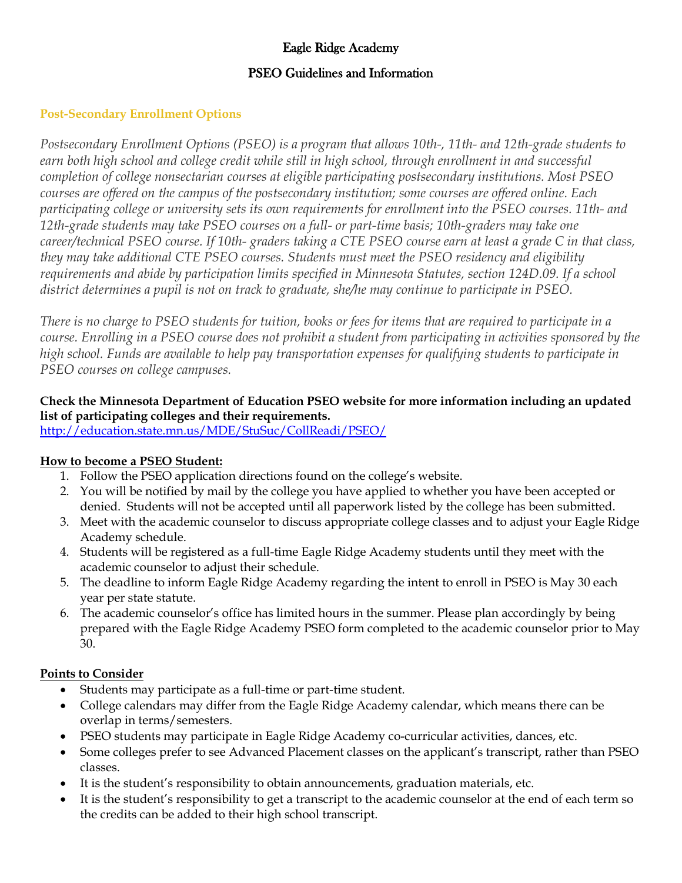# Eagle Ridge Academy

### PSEO Guidelines and Information

### **Post-Secondary Enrollment Options**

*Postsecondary Enrollment Options (PSEO) is a program that allows 10th-, 11th- and 12th-grade students to earn both high school and college credit while still in high school, through enrollment in and successful completion of college nonsectarian courses at eligible participating postsecondary institutions. Most PSEO courses are offered on the campus of the postsecondary institution; some courses are offered online. Each participating college or university sets its own requirements for enrollment into the PSEO courses. 11th- and 12th-grade students may take PSEO courses on a full- or part-time basis; 10th-graders may take one career/technical PSEO course. If 10th- graders taking a CTE PSEO course earn at least a grade C in that class, they may take additional CTE PSEO courses. Students must meet the PSEO residency and eligibility requirements and abide by participation limits specified in Minnesota Statutes, section 124D.09. If a school district determines a pupil is not on track to graduate, she/he may continue to participate in PSEO.*

*There is no charge to PSEO students for tuition, books or fees for items that are required to participate in a course. Enrolling in a PSEO course does not prohibit a student from participating in activities sponsored by the high school. Funds are available to help pay transportation expenses for qualifying students to participate in PSEO courses on college campuses.*

# **Check the Minnesota Department of Education PSEO website for more information including an updated list of participating colleges and their requirements.**

<http://education.state.mn.us/MDE/StuSuc/CollReadi/PSEO/>

#### **How to become a PSEO Student:**

- 1. Follow the PSEO application directions found on the college's website.
- 2. You will be notified by mail by the college you have applied to whether you have been accepted or denied. Students will not be accepted until all paperwork listed by the college has been submitted.
- 3. Meet with the academic counselor to discuss appropriate college classes and to adjust your Eagle Ridge Academy schedule.
- 4. Students will be registered as a full-time Eagle Ridge Academy students until they meet with the academic counselor to adjust their schedule.
- 5. The deadline to inform Eagle Ridge Academy regarding the intent to enroll in PSEO is May 30 each year per state statute.
- 6. The academic counselor's office has limited hours in the summer. Please plan accordingly by being prepared with the Eagle Ridge Academy PSEO form completed to the academic counselor prior to May 30.

#### **Points to Consider**

- Students may participate as a full-time or part-time student.
- College calendars may differ from the Eagle Ridge Academy calendar, which means there can be overlap in terms/semesters.
- PSEO students may participate in Eagle Ridge Academy co-curricular activities, dances, etc.
- Some colleges prefer to see Advanced Placement classes on the applicant's transcript, rather than PSEO classes.
- It is the student's responsibility to obtain announcements, graduation materials, etc.
- It is the student's responsibility to get a transcript to the academic counselor at the end of each term so the credits can be added to their high school transcript.